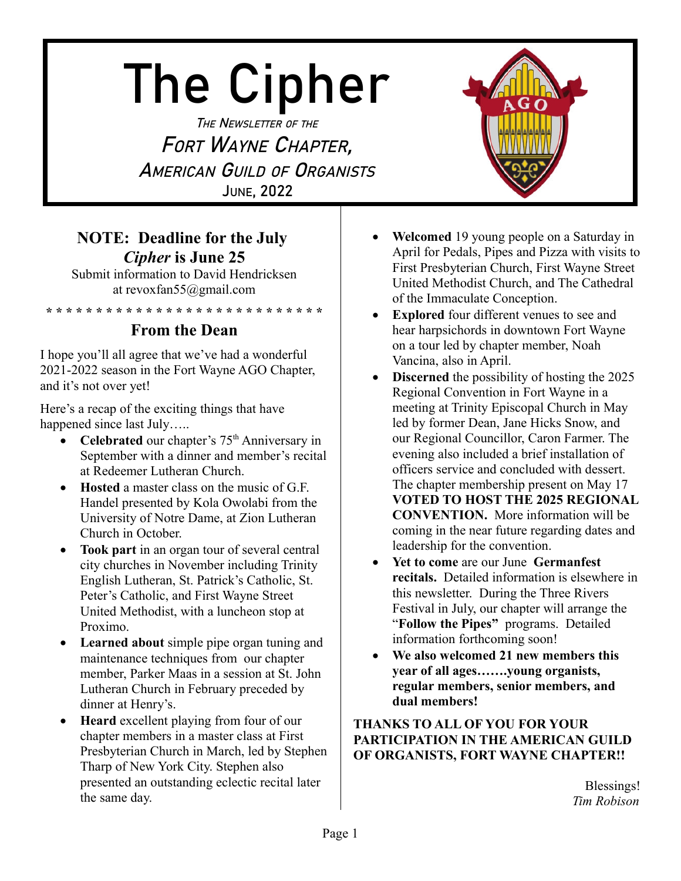# The Cipher

THE NEWSLETTER OF THE FORT WAYNE CHAPTER, AMERICAN GUILD OF ORGANISTS JUNE, 2022

### **NOTE: Deadline for the July**  *Cipher* **is June 25**

Submit information to David Hendricksen at revoxfan55@gmail.com

**\* \* \* \* \* \* \* \* \* \* \* \* \* \* \* \* \* \* \* \* \* \* \* \* \* \* \* \***

### **From the Dean**

I hope you'll all agree that we've had a wonderful 2021-2022 season in the Fort Wayne AGO Chapter, and it's not over yet!

Here's a recap of the exciting things that have happened since last July…..

- Celebrated our chapter's 75<sup>th</sup> Anniversary in September with a dinner and member's recital at Redeemer Lutheran Church.
- **Hosted** a master class on the music of G.F. Handel presented by Kola Owolabi from the University of Notre Dame, at Zion Lutheran Church in October.
- **Took part** in an organ tour of several central city churches in November including Trinity English Lutheran, St. Patrick's Catholic, St. Peter's Catholic, and First Wayne Street United Methodist, with a luncheon stop at Proximo.
- **Learned about** simple pipe organ tuning and maintenance techniques from our chapter member, Parker Maas in a session at St. John Lutheran Church in February preceded by dinner at Henry's.
- **Heard** excellent playing from four of our chapter members in a master class at First Presbyterian Church in March, led by Stephen Tharp of New York City. Stephen also presented an outstanding eclectic recital later the same day.
- **Welcomed** 19 young people on a Saturday in April for Pedals, Pipes and Pizza with visits to First Presbyterian Church, First Wayne Street United Methodist Church, and The Cathedral of the Immaculate Conception.
- **Explored** four different venues to see and hear harpsichords in downtown Fort Wayne on a tour led by chapter member, Noah Vancina, also in April.
- **Discerned** the possibility of hosting the 2025 Regional Convention in Fort Wayne in a meeting at Trinity Episcopal Church in May led by former Dean, Jane Hicks Snow, and our Regional Councillor, Caron Farmer. The evening also included a brief installation of officers service and concluded with dessert. The chapter membership present on May 17 **VOTED TO HOST THE 2025 REGIONAL CONVENTION.** More information will be coming in the near future regarding dates and leadership for the convention.
- **Yet to come** are our June **Germanfest recitals.** Detailed information is elsewhere in this newsletter. During the Three Rivers Festival in July, our chapter will arrange the "**Follow the Pipes"** programs. Detailed information forthcoming soon!
- **We also welcomed 21 new members this year of all ages…….young organists, regular members, senior members, and dual members!**

#### **THANKS TO ALL OF YOU FOR YOUR PARTICIPATION IN THE AMERICAN GUILD OF ORGANISTS, FORT WAYNE CHAPTER!!**

Blessings! *Tim Robison*

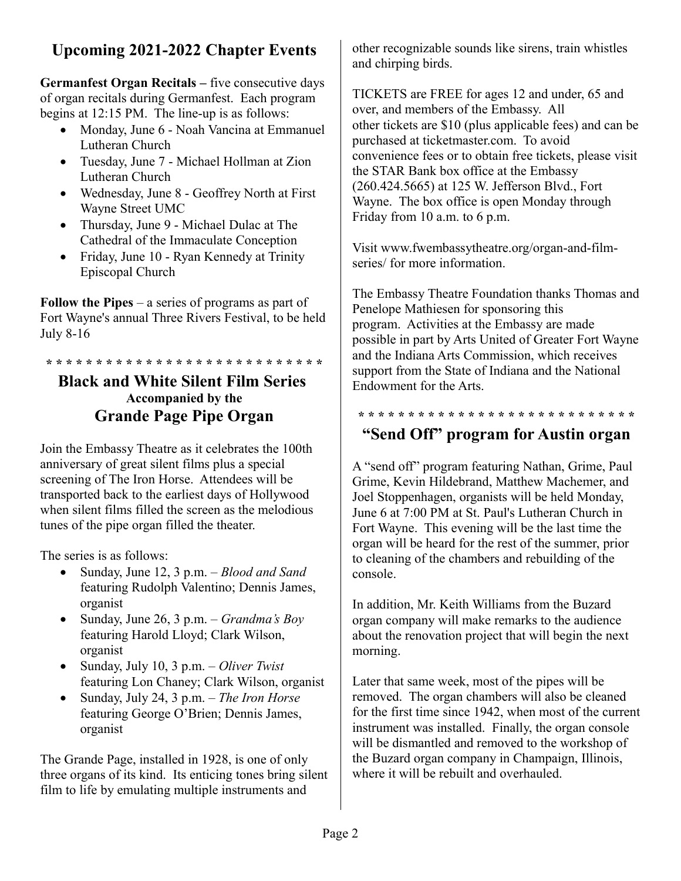# **Upcoming 2021-2022 Chapter Events**

**Germanfest Organ Recitals –** five consecutive days of organ recitals during Germanfest. Each program begins at 12:15 PM. The line-up is as follows:

- Monday, June 6 Noah Vancina at Emmanuel Lutheran Church
- Tuesday, June 7 Michael Hollman at Zion Lutheran Church
- Wednesday, June 8 Geoffrey North at First Wayne Street UMC
- Thursday, June 9 Michael Dulac at The Cathedral of the Immaculate Conception
- Friday, June 10 Ryan Kennedy at Trinity Episcopal Church

**Follow the Pipes** – a series of programs as part of Fort Wayne's annual Three Rivers Festival, to be held July 8-16

**\* \* \* \* \* \* \* \* \* \* \* \* \* \* \* \* \* \* \* \* \* \* \* \* \* \* \* \***

#### **Black and White Silent Film Series Accompanied by the Grande Page Pipe Organ**

Join the Embassy Theatre as it celebrates the 100th anniversary of great silent films plus a special screening of The Iron Horse. Attendees will be transported back to the earliest days of Hollywood when silent films filled the screen as the melodious tunes of the pipe organ filled the theater.

The series is as follows:

- Sunday, June 12, 3 p.m. *Blood and Sand* featuring Rudolph Valentino; Dennis James, organist
- Sunday, June 26, 3 p.m. *Grandma's Boy* featuring Harold Lloyd; Clark Wilson, organist
- Sunday, July 10, 3 p.m. *Oliver Twist* featuring Lon Chaney; Clark Wilson, organist
- Sunday, July 24, 3 p.m. *The Iron Horse* featuring George O'Brien; Dennis James, organist

The Grande Page, installed in 1928, is one of only three organs of its kind. Its enticing tones bring silent film to life by emulating multiple instruments and

other recognizable sounds like sirens, train whistles and chirping birds.

TICKETS are FREE for ages 12 and under, 65 and over, and members of the Embassy. All other tickets are \$10 (plus applicable fees) and can be purchased at ticketmaster.com. To avoid convenience fees or to obtain free tickets, please visit the STAR Bank box office at the Embassy (260.424.5665) at 125 W. Jefferson Blvd., Fort Wayne. The box office is open Monday through Friday from 10 a.m. to 6 p.m.

Visit www.fwembassytheatre.org/organ-and-filmseries/ for more information.

The Embassy Theatre Foundation thanks Thomas and Penelope Mathiesen for sponsoring this program. Activities at the Embassy are made possible in part by Arts United of Greater Fort Wayne and the Indiana Arts Commission, which receives support from the State of Indiana and the National Endowment for the Arts.

# **\* \* \* \* \* \* \* \* \* \* \* \* \* \* \* \* \* \* \* \* \* \* \* \* \* \* \* \***

### **"Send Off" program for Austin organ**

A "send off" program featuring Nathan, Grime, Paul Grime, Kevin Hildebrand, Matthew Machemer, and Joel Stoppenhagen, organists will be held Monday, June 6 at 7:00 PM at St. Paul's Lutheran Church in Fort Wayne. This evening will be the last time the organ will be heard for the rest of the summer, prior to cleaning of the chambers and rebuilding of the console.

In addition, Mr. Keith Williams from the Buzard organ company will make remarks to the audience about the renovation project that will begin the next morning.

Later that same week, most of the pipes will be removed. The organ chambers will also be cleaned for the first time since 1942, when most of the current instrument was installed. Finally, the organ console will be dismantled and removed to the workshop of the Buzard organ company in Champaign, Illinois, where it will be rebuilt and overhauled.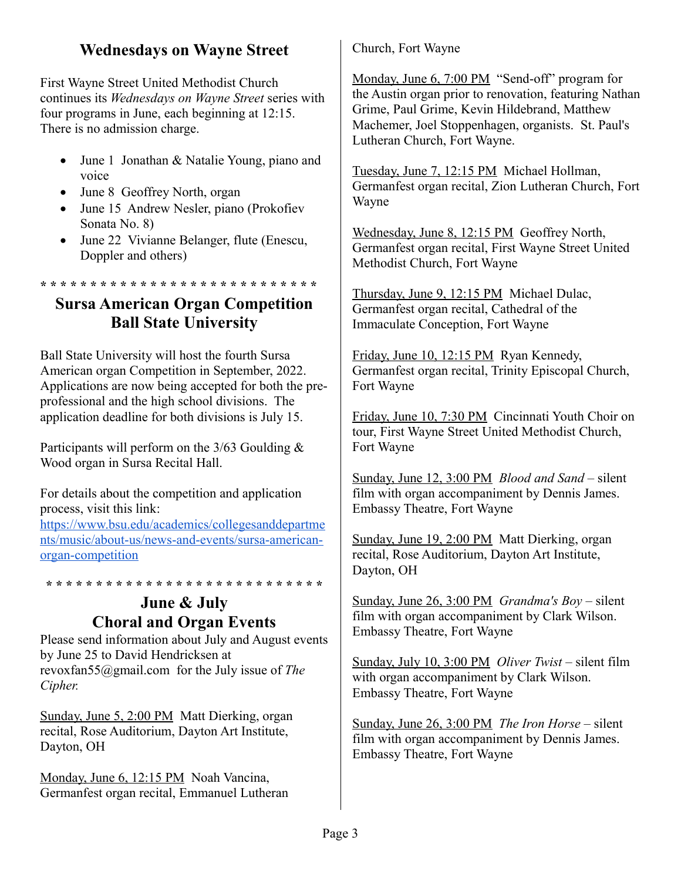#### **Wednesdays on Wayne Street**

First Wayne Street United Methodist Church continues its *Wednesdays on Wayne Street* series with four programs in June, each beginning at 12:15. There is no admission charge.

- June 1 Jonathan & Natalie Young, piano and voice
- June 8 Geoffrey North, organ
- June 15 Andrew Nesler, piano (Prokofiev Sonata No. 8)
- June 22 Vivianne Belanger, flute (Enescu, Doppler and others)

**\* \* \* \* \* \* \* \* \* \* \* \* \* \* \* \* \* \* \* \* \* \* \* \* \* \* \* \***

#### **Sursa American Organ Competition Ball State University**

Ball State University will host the fourth Sursa American organ Competition in September, 2022. Applications are now being accepted for both the preprofessional and the high school divisions. The application deadline for both divisions is July 15.

Participants will perform on the 3/63 Goulding & Wood organ in Sursa Recital Hall.

For details about the competition and application process, visit this link: [https://www.bsu.edu/academics/collegesanddepartme](https://www.bsu.edu/academics/collegesanddepartments/music/about-us/news-and-events/sursa-american-organ-competition) [nts/music/about-us/news-and-events/sursa-american](https://www.bsu.edu/academics/collegesanddepartments/music/about-us/news-and-events/sursa-american-organ-competition)[organ-competition](https://www.bsu.edu/academics/collegesanddepartments/music/about-us/news-and-events/sursa-american-organ-competition)

**\* \* \* \* \* \* \* \* \* \* \* \* \* \* \* \* \* \* \* \* \* \* \* \* \* \* \* \***

#### **June & July Choral and Organ Events**

Please send information about July and August events by June 25 to David Hendricksen at revoxfan55@gmail.com for the July issue of *The Cipher.*

Sunday, June 5, 2:00 PM Matt Dierking, organ recital, Rose Auditorium, Dayton Art Institute, Dayton, OH

Monday, June 6, 12:15 PM Noah Vancina, Germanfest organ recital, Emmanuel Lutheran Church, Fort Wayne

Monday, June 6, 7:00 PM "Send-off" program for the Austin organ prior to renovation, featuring Nathan Grime, Paul Grime, Kevin Hildebrand, Matthew Machemer, Joel Stoppenhagen, organists. St. Paul's Lutheran Church, Fort Wayne.

Tuesday, June 7, 12:15 PM Michael Hollman, Germanfest organ recital, Zion Lutheran Church, Fort Wayne

Wednesday, June 8, 12:15 PM Geoffrey North, Germanfest organ recital, First Wayne Street United Methodist Church, Fort Wayne

Thursday, June 9, 12:15 PM Michael Dulac, Germanfest organ recital, Cathedral of the Immaculate Conception, Fort Wayne

Friday, June 10, 12:15 PM Ryan Kennedy, Germanfest organ recital, Trinity Episcopal Church, Fort Wayne

Friday, June 10, 7:30 PM Cincinnati Youth Choir on tour, First Wayne Street United Methodist Church, Fort Wayne

Sunday, June 12, 3:00 PM *Blood and Sand* – silent film with organ accompaniment by Dennis James. Embassy Theatre, Fort Wayne

Sunday, June 19, 2:00 PM Matt Dierking, organ recital, Rose Auditorium, Dayton Art Institute, Dayton, OH

Sunday, June 26, 3:00 PM *Grandma's Boy* – silent film with organ accompaniment by Clark Wilson. Embassy Theatre, Fort Wayne

Sunday, July 10, 3:00 PM *Oliver Twist* – silent film with organ accompaniment by Clark Wilson. Embassy Theatre, Fort Wayne

Sunday, June 26, 3:00 PM *The Iron Horse* – silent film with organ accompaniment by Dennis James. Embassy Theatre, Fort Wayne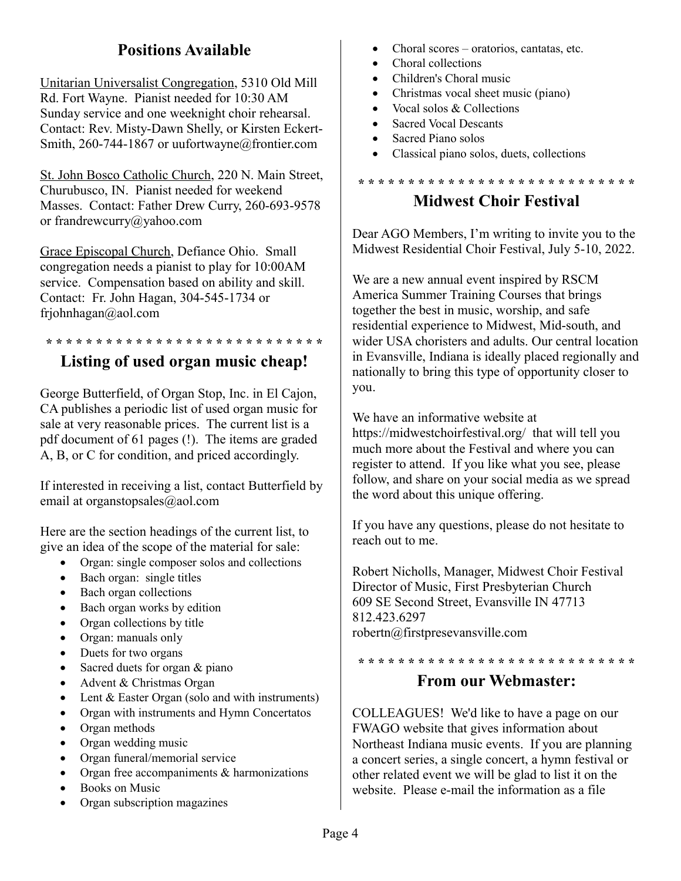## **Positions Available**

Unitarian Universalist Congregation, 5310 Old Mill Rd. Fort Wayne. Pianist needed for 10:30 AM Sunday service and one weeknight choir rehearsal. Contact: Rev. Misty-Dawn Shelly, or Kirsten Eckert-Smith, 260-744-1867 or uufortwayne@frontier.com

St. John Bosco Catholic Church, 220 N. Main Street, Churubusco, IN. Pianist needed for weekend Masses. Contact: Father Drew Curry, 260-693-9578 or frandrewcurry@yahoo.com

Grace Episcopal Church, Defiance Ohio. Small congregation needs a pianist to play for 10:00AM service. Compensation based on ability and skill. Contact: Fr. John Hagan, 304-545-1734 or frjohnhagan@aol.com

#### **\* \* \* \* \* \* \* \* \* \* \* \* \* \* \* \* \* \* \* \* \* \* \* \* \* \* \* \* Listing of used organ music cheap!**

George Butterfield, of Organ Stop, Inc. in El Cajon, CA publishes a periodic list of used organ music for sale at very reasonable prices. The current list is a pdf document of 61 pages (!). The items are graded A, B, or C for condition, and priced accordingly.

If interested in receiving a list, contact Butterfield by email at organstopsales@aol.com

Here are the section headings of the current list, to give an idea of the scope of the material for sale:

- Organ: single composer solos and collections
- Bach organ: single titles
- Bach organ collections
- Bach organ works by edition
- Organ collections by title
- Organ: manuals only
- Duets for two organs
- Sacred duets for organ & piano
- Advent & Christmas Organ
- Lent & Easter Organ (solo and with instruments)
- Organ with instruments and Hymn Concertatos
- Organ methods
- Organ wedding music
- Organ funeral/memorial service
- Organ free accompaniments & harmonizations
- Books on Music
- Organ subscription magazines
- Choral scores oratorios, cantatas, etc.
- Choral collections
- Children's Choral music
- Christmas vocal sheet music (piano)
- Vocal solos & Collections
- Sacred Vocal Descants
- Sacred Piano solos
- Classical piano solos, duets, collections

# **\* \* \* \* \* \* \* \* \* \* \* \* \* \* \* \* \* \* \* \* \* \* \* \* \* \* \* \***

#### **Midwest Choir Festival**

Dear AGO Members, I'm writing to invite you to the Midwest Residential Choir Festival, July 5-10, 2022.

We are a new annual event inspired by RSCM America Summer Training Courses that brings together the best in music, worship, and safe residential experience to Midwest, Mid-south, and wider USA choristers and adults. Our central location in Evansville, Indiana is ideally placed regionally and nationally to bring this type of opportunity closer to you.

We have an informative website at https://midwestchoirfestival.org/ that will tell you much more about the Festival and where you can register to attend. If you like what you see, please follow, and share on your social media as we spread the word about this unique offering.

If you have any questions, please do not hesitate to reach out to me.

Robert Nicholls, Manager, Midwest Choir Festival Director of Music, First Presbyterian Church 609 SE Second Street, Evansville IN 47713 812.423.6297 robertn@firstpresevansville.com

#### **\* \* \* \* \* \* \* \* \* \* \* \* \* \* \* \* \* \* \* \* \* \* \* \* \* \* \* \* From our Webmaster:**

COLLEAGUES! We'd like to have a page on our FWAGO website that gives information about Northeast Indiana music events. If you are planning a concert series, a single concert, a hymn festival or other related event we will be glad to list it on the website. Please e-mail the information as a file